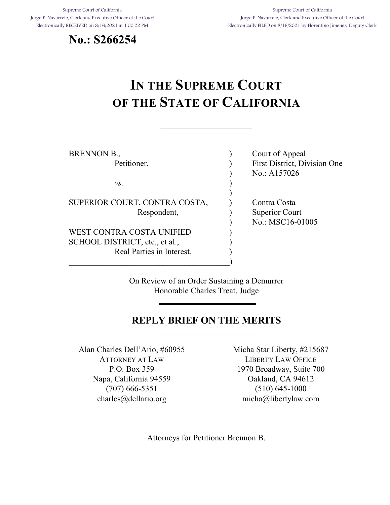<span id="page-0-0"></span>Supreme Court of California Jorge E. Navarrete, Clerk and Executive Officer of the Court Electronically RECEIVED on 8/16/2021 at 1:00:22 PM





# **IN THE SUPREME COURT OF THE STATE OF CALIFORNIA**

| <b>BRENNON B.,</b>             | Court of Appeal              |
|--------------------------------|------------------------------|
| Petitioner,                    | First District, Division One |
|                                | No.: A157026                 |
| VS.                            |                              |
|                                |                              |
| SUPERIOR COURT, CONTRA COSTA,  | Contra Costa                 |
| Respondent,                    | <b>Superior Court</b>        |
|                                | No.: MSC16-01005             |
| WEST CONTRA COSTA UNIFIED      |                              |
| SCHOOL DISTRICT, etc., et al., |                              |
| Real Parties in Interest.      |                              |
|                                |                              |

On Review of an Order Sustaining a Demurrer Honorable Charles Treat, Judge

# **REPLY BRIEF ON THE MERITS**

Alan Charles Dell'Ario, #60955 ATTORNEY AT LAW P.O. Box 359 Napa, California 94559 (707) 666-5351 charles@dellario.org

Micha Star Liberty, #215687 LIBERTY LAW OFFICE 1970 Broadway, Suite 700 Oakland, CA 94612 (510) 645-1000 micha@libertylaw.com

Attorneys for Petitioner Brennon B.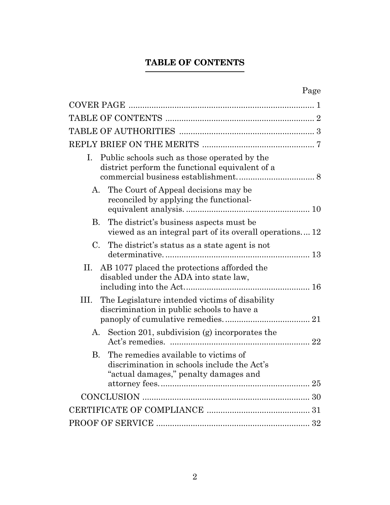# **TABLE OF CONTENTS**

<span id="page-1-0"></span>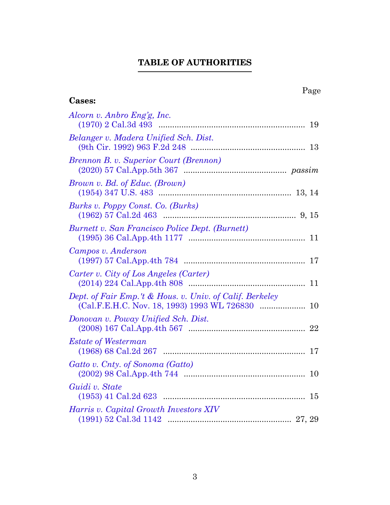# **TABLE OF AUTHORITIES**

<span id="page-2-0"></span>

| Page                                                                                                     |
|----------------------------------------------------------------------------------------------------------|
| <b>Cases:</b>                                                                                            |
| Alcorn v. Anbro Eng'g, Inc.                                                                              |
| Belanger v. Madera Unified Sch. Dist.                                                                    |
| Brennon B. v. Superior Court (Brennon)                                                                   |
| <i>Brown v. Bd. of Educ. (Brown)</i>                                                                     |
| Burks v. Poppy Const. Co. (Burks)                                                                        |
| Burnett v. San Francisco Police Dept. (Burnett)                                                          |
| Campos v. Anderson                                                                                       |
| Carter v. City of Los Angeles (Carter)                                                                   |
| Dept. of Fair Emp.'t & Hous. v. Univ. of Calif. Berkeley                                                 |
| Donovan v. Poway Unified Sch. Dist.                                                                      |
| <b>Estate of Westerman</b>                                                                               |
| Gatto v. Cnty. of Sonoma (Gatto)                                                                         |
| Guidi v. State<br>$\left( 1953\right) \,41 \,\,{\rm Cal.2d} \,\,623 \  \  \,  \,  \,  \,  \,  \,  \, 15$ |
| Harris v. Capital Growth Investors XIV                                                                   |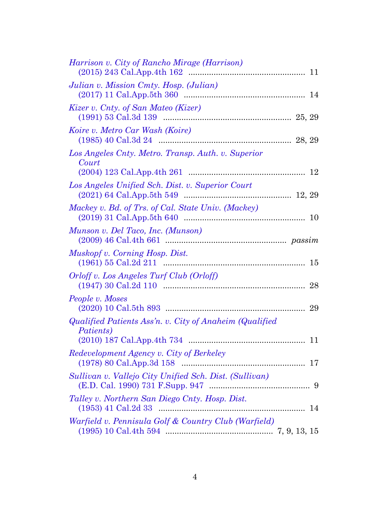| Harrison v. City of Rancho Mirage (Harrison)                         |  |
|----------------------------------------------------------------------|--|
| Julian v. Mission Cmty. Hosp. (Julian)                               |  |
| Kizer v. Cnty. of San Mateo (Kizer)                                  |  |
| Koire v. Metro Car Wash (Koire)                                      |  |
| Los Angeles Cnty. Metro. Transp. Auth. v. Superior<br>Court          |  |
| Los Angeles Unified Sch. Dist. v. Superior Court                     |  |
| Mackey v. Bd. of Trs. of Cal. State Univ. (Mackey)                   |  |
| Munson v. Del Taco, Inc. (Munson)                                    |  |
| Muskopf v. Corning Hosp. Dist.                                       |  |
| Orloff v. Los Angeles Turf Club (Orloff)<br>28                       |  |
| People v. Moses<br>29                                                |  |
| Qualified Patients Ass'n. v. City of Anaheim (Qualified<br>Patients) |  |
|                                                                      |  |
| Redevelopment Agency v. City of Berkeley                             |  |
| Sullivan v. Vallejo City Unified Sch. Dist. (Sullivan)               |  |
| Talley v. Northern San Diego Cnty. Hosp. Dist.                       |  |
| Warfield v. Pennisula Golf & Country Club (Warfield)                 |  |
|                                                                      |  |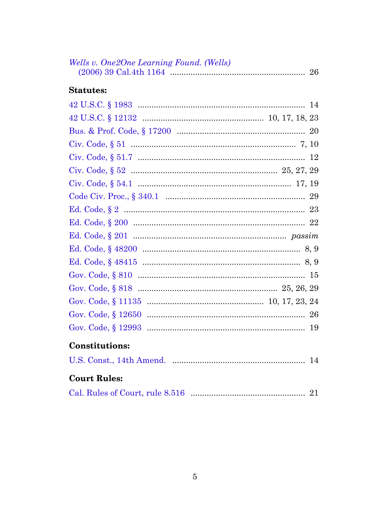| Wells v. One2One Learning Found. (Wells) |
|------------------------------------------|
| <b>Statutes:</b>                         |
|                                          |
|                                          |
|                                          |
|                                          |
|                                          |
|                                          |
|                                          |
|                                          |
|                                          |
|                                          |
|                                          |
|                                          |
|                                          |
|                                          |
|                                          |
|                                          |
|                                          |
|                                          |
|                                          |
| <b>Constitutions:</b>                    |
|                                          |
| <b>Court Rules:</b>                      |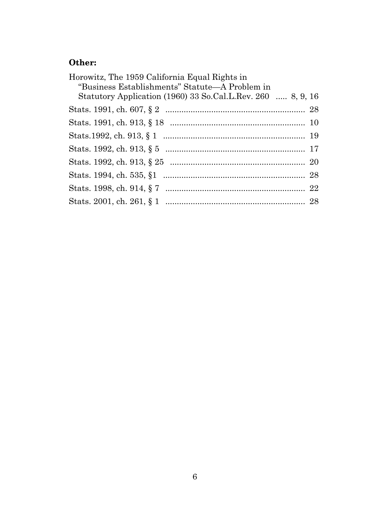# **Other:**

| Statutory Application (1960) 33 So.Cal.L.Rev. 260  8, 9, 16 |
|-------------------------------------------------------------|
|                                                             |
|                                                             |
|                                                             |
|                                                             |
|                                                             |
|                                                             |
|                                                             |
|                                                             |
|                                                             |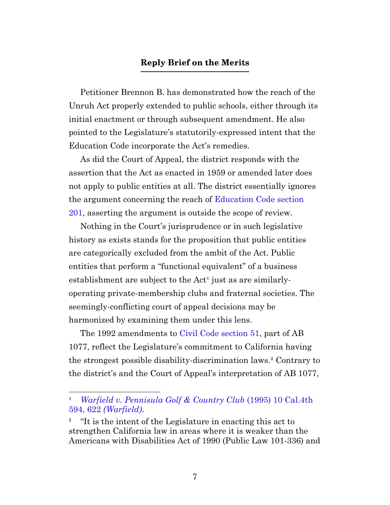#### **Reply Brief on the Merits**

<span id="page-6-0"></span>Petitioner Brennon B. has demonstrated how the reach of the Unruh Act properly extended to public schools, either through its initial enactment or through subsequent amendment. He also pointed to the Legislature's statutorily-expressed intent that the Education Code incorporate the Act's remedies.

As did the Court of Appeal, the district responds with the assertion that the Act as enacted in 1959 or amended later does not apply to public entities at all. The district essentially ignores the argument concerning the reach of [Education Code section](https://leginfo.legislature.ca.gov/faces/codes_displaySection.xhtml?sectionNum=201.&lawCode=EDC) [201,](https://leginfo.legislature.ca.gov/faces/codes_displaySection.xhtml?sectionNum=201.&lawCode=EDC) asserting the argument is outside the scope of review.

Nothing in the Court's jurisprudence or in such legislative history as exists stands for the proposition that public entities are categorically excluded from the ambit of the Act. Public entities that perform a "functional equivalent" of a business establishment are subject to the Act<sup>1</sup> just as are similarlyoperating private-membership clubs and fraternal societies. The seemingly-conflicting court of appeal decisions may be harmonized by examining them under this lens.

The 1992 amendments to [Civil Code section 51](https://leginfo.legislature.ca.gov/faces/codes_displaySection.xhtml?sectionNum=51.&lawCode=CIV), part of AB 1077, reflect the Legislature's commitment to California having the strongest possible disability-discrimination laws.² Contrary to the district's and the Court of Appeal's interpretation of AB 1077,

¹ *[Warfield v. Pennisula Golf & Country Club](https://casetext.com/case/warfield-v-peninsula-golf-country-club-3#p622)* (1995) 10 Cal.4th 594, 622 *[\(Warfield\)](https://casetext.com/case/warfield-v-peninsula-golf-country-club-3#p622)*.

² "It is the intent of the Legislature in enacting this act to strengthen California law in areas where it is weaker than the Americans with Disabilities Act of 1990 (Public Law 101-336) and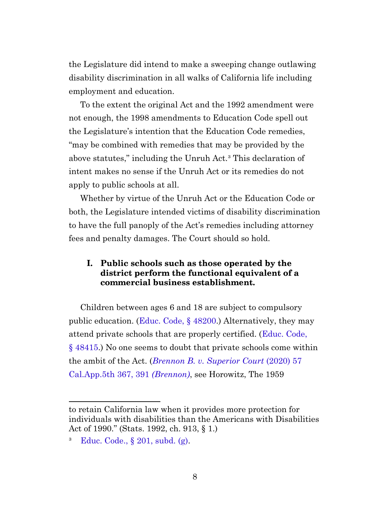the Legislature did intend to make a sweeping change outlawing disability discrimination in all walks of California life including employment and education.

To the extent the original Act and the 1992 amendment were not enough, the 1998 amendments to Education Code spell out the Legislature's intention that the Education Code remedies, "may be combined with remedies that may be provided by the above statutes," including the Unruh Act.<sup>3</sup> This declaration of intent makes no sense if the Unruh Act or its remedies do not apply to public schools at all.

Whether by virtue of the Unruh Act or the Education Code or both, the Legislature intended victims of disability discrimination to have the full panoply of the Act's remedies including attorney fees and penalty damages. The Court should so hold.

#### **I. Public schools such as those operated by the district perform the functional equivalent of a commercial business establishment.**

<span id="page-7-0"></span>Children between ages 6 and 18 are subject to compulsory public education. [\(Educ. Code, §](https://leginfo.legislature.ca.gov/faces/codes_displaySection.xhtml?sectionNum=48200.&lawCode=EDC) 48200.) Alternatively, they may attend private schools that are properly certified. [\(Educ. Code,](https://leginfo.legislature.ca.gov/faces/codes_displaySection.xhtml?sectionNum=48415.&lawCode=EDC) § [48415](https://leginfo.legislature.ca.gov/faces/codes_displaySection.xhtml?sectionNum=48415.&lawCode=EDC).) No one seems to doubt that private schools come within the ambit of the Act. (*[Brennon B. v. Superior Court](https://casetext.com/case/brennon-b-v-superior-court#p391)* (2020) 57 [Cal.App.5th 367, 391](https://casetext.com/case/brennon-b-v-superior-court#p391) *(Brennon)*, see Horowitz, The 1959

<span id="page-7-1"></span>to retain California law when it provides more protection for individuals with disabilities than the Americans with Disabilities Act of 1990." (Stats. 1992, ch. 913, § 1.)

<sup>&</sup>lt;sup>3</sup> [Educ. Code., §](https://leginfo.legislature.ca.gov/faces/codes_displaySection.xhtml?sectionNum=201.&lawCode=EDC) 201, subd. (g).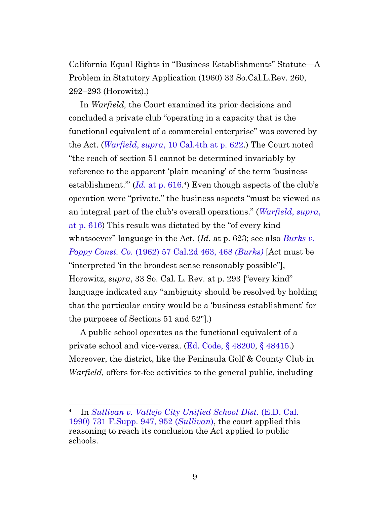California Equal Rights in "Business Establishments" Statute—A Problem in Statutory Application (1960) 33 So.Cal.L.Rev. 260, 292–293 (Horowitz).)

In *Warfield,* the Court examined its prior decisions and concluded a private club "operating in a capacity that is the functional equivalent of a commercial enterprise" was covered by the Act. (*Warfield*, *supra*[, 10 Cal.4th at p. 622](https://casetext.com/case/warfield-v-peninsula-golf-country-club-3#p622).) The Court noted "the reach of section 51 cannot be determined invariably by reference to the apparent 'plain meaning' of the term 'business establishment."  $(Id.$  at p.  $616.4$ ) Even though aspects of the club's operation were "private," the business aspects "must be viewed as an integral part of the club's overall operations." (*[Warfield](https://casetext.com/case/warfield-v-peninsula-golf-country-club-3#p616)*, *supra*, [at p. 616](https://casetext.com/case/warfield-v-peninsula-golf-country-club-3#p616)) This result was dictated by the "of every kind whatsoever" language in the Act. (*Id.* at p. 623; see also *[Burks v.](https://casetext.com/case/burks-v-poppy-construction-co#p468) Poppy Const. Co.* [\(1962\) 57 Cal.2d 463, 468](https://casetext.com/case/burks-v-poppy-construction-co#p468) *(Burks)* [Act must be "interpreted 'in the broadest sense reasonably possible"], Horowitz, *supra*, 33 So. Cal. L. Rev. at p. 293 ["every kind" language indicated any "ambiguity should be resolved by holding that the particular entity would be a 'business establishment' for the purposes of Sections 51 and 52"].)

A public school operates as the functional equivalent of a private school and vice-versa. ([Ed. Code, §](https://leginfo.legislature.ca.gov/faces/codes_displaySection.xhtml?sectionNum=48200.&lawCode=EDC) 48200, § [48415](https://leginfo.legislature.ca.gov/faces/codes_displaySection.xhtml?sectionNum=48415.&lawCode=EDC).) Moreover, the district, like the Peninsula Golf & County Club in *Warfield,* offers for-fee activities to the general public, including

⁴ In *[Sullivan v. Vallejo City Unified School Dist.](https://casetext.com/case/sullivan-v-vallejo-city-unified-school#p952)* (E.D. Cal. [1990\) 731 F.Supp. 947, 952 \(](https://casetext.com/case/sullivan-v-vallejo-city-unified-school#p952)*Sullivan*), the court applied this reasoning to reach its conclusion the Act applied to public schools.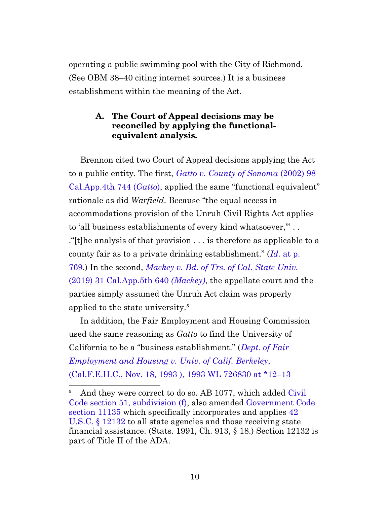operating a public swimming pool with the City of Richmond. (See OBM 38–40 citing internet sources.) It is a business establishment within the meaning of the Act.

### **A. The Court of Appeal decisions may be reconciled by applying the functionalequivalent analysis.**

<span id="page-9-0"></span>Brennon cited two Court of Appeal decisions applying the Act to a public entity. The first, *[Gatto v. County of Sonoma](https://casetext.com/case/gatto-v-county-of-sonoma)* (2002) 98 [Cal.App.4th 744 \(](https://casetext.com/case/gatto-v-county-of-sonoma)*Gatto*), applied the same "functional equivalent" rationale as did *Warfield*. Because "the equal access in accommodations provision of the Unruh Civil Rights Act applies to 'all business establishments of every kind whatsoever,'" . . ."[t]he analysis of that provision . . . is therefore as applicable to a county fair as to a private drinking establishment." (*Id.* [at p.](https://casetext.com/case/gatto-v-county-of-sonoma#p769) [769.](https://casetext.com/case/gatto-v-county-of-sonoma#p769)) In the second, *[Mackey v. Bd. of Trs. of Cal. State Univ.](https://casetext.com/case/mackey-v-bd-of-trs-of-the-cal-state-univ)* [\(2019\) 31 Cal.App.5th 640](https://casetext.com/case/mackey-v-bd-of-trs-of-the-cal-state-univ) *(Mackey)*, the appellate court and the parties simply assumed the Unruh Act claim was properly applied to the state university.<sup>5</sup>

In addition, the Fair Employment and Housing Commission used the same reasoning as *Gatto* to find the University of California to be a "business establishment." (*[Dept. of Fair](1993%20WL%20726830#p12) [Employment and Housing v. Univ. of Calif. Berkeley](1993%20WL%20726830#p12)*, [\(Cal.F.E.H.C., Nov. 18, 1993 \), 1993 WL 726830 at \\*12–13](1993%20WL%20726830#p12)

<span id="page-9-1"></span><sup>&</sup>lt;sup>5</sup> And they were correct to do so. AB 1077, which added [Civil](https://leginfo.legislature.ca.gov/faces/codes_displaySection.xhtml?sectionNum=51.&lawCode=CIV) [Code section 51, subdivision \(f\),](https://leginfo.legislature.ca.gov/faces/codes_displaySection.xhtml?sectionNum=51.&lawCode=CIV) also amended [Government Code](https://leginfo.legislature.ca.gov/faces/codes_displaySection.xhtml?sectionNum=11135.&lawCode=GOV) [section 11135](https://leginfo.legislature.ca.gov/faces/codes_displaySection.xhtml?sectionNum=11135.&lawCode=GOV) which specifically incorporates and applies [42](http://uscode.house.gov/view.xhtml?req=granuleid:USC-prelim-title42-section12132&num=0&edition=prelim) [U.S.C. §](http://uscode.house.gov/view.xhtml?req=granuleid:USC-prelim-title42-section12132&num=0&edition=prelim) 12132 to all state agencies and those receiving state financial assistance. (Stats. 1991, Ch. 913, § 18.) Section 12132 is part of Title II of the ADA.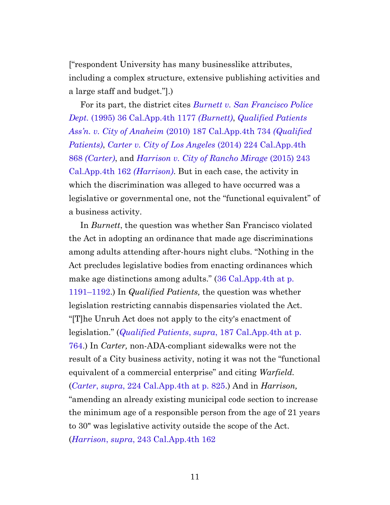["respondent University has many businesslike attributes, including a complex structure, extensive publishing activities and a large staff and budget."].)

For its part, the district cites *[Burnett v. San Francisco Police](https://casetext.com/case/burnett-v-san-francisco-police-department) Dept.* [\(1995\) 36 Cal.App.4th 1177](https://casetext.com/case/burnett-v-san-francisco-police-department) *(Burnett)*, *[Qualified Patients](https://casetext.com/case/qual-pat-v-city-of-ana) Ass'n. v. City of Anaheim* [\(2010\) 187 Cal.App.4th 734](https://casetext.com/case/qual-pat-v-city-of-ana) *(Qualified [Patients\)](https://casetext.com/case/qual-pat-v-city-of-ana)*, *[Carter v. City of Los Angeles](https://casetext.com/case/carter-v-city-of-l-a-1)* (2014) 224 Cal.App.4th 868 *[\(Carter\)](https://casetext.com/case/carter-v-city-of-l-a-1)*, and *[Harrison v. City of Rancho Mirage](https://casetext.com/case/harrison-v-city-of-rancho-mirage)* (2015) 243 [Cal.App.4th 162](https://casetext.com/case/harrison-v-city-of-rancho-mirage) *(Harrison)*. But in each case, the activity in which the discrimination was alleged to have occurred was a legislative or governmental one, not the "functional equivalent" of a business activity.

In *Burnett*, the question was whether San Francisco violated the Act in adopting an ordinance that made age discriminations among adults attending after-hours night clubs. "Nothing in the Act precludes legislative bodies from enacting ordinances which make age distinctions among adults." ([36 Cal.App.4th at p.](https://casetext.com/case/burnett-v-san-francisco-police-department) [1191–1192](https://casetext.com/case/burnett-v-san-francisco-police-department).) In *Qualified Patients,* the question was whether legislation restricting cannabis dispensaries violated the Act. "[T]he Unruh Act does not apply to the city's enactment of legislation." (*Qualified Patients*, *supra*[, 187 Cal.App.4th at p.](https://casetext.com/case/qual-pat-v-city-of-ana#p764) [764.](https://casetext.com/case/qual-pat-v-city-of-ana#p764)) In *Carter,* non-ADA-compliant sidewalks were not the result of a City business activity, noting it was not the "functional equivalent of a commercial enterprise" and citing *Warfield.* (*Carter*, *supra*[, 224 Cal.App.4th at p. 825.](https://casetext.com/case/carter-v-city-of-l-a-1#p825)) And in *Harrison,* "amending an already existing municipal code section to increase the minimum age of a responsible person from the age of 21 years to 30" was legislative activity outside the scope of the Act. (*Harrison*, *supra*[, 243 Cal.App.4th 162](https://casetext.com/case/harrison-v-city-of-rancho-mirage)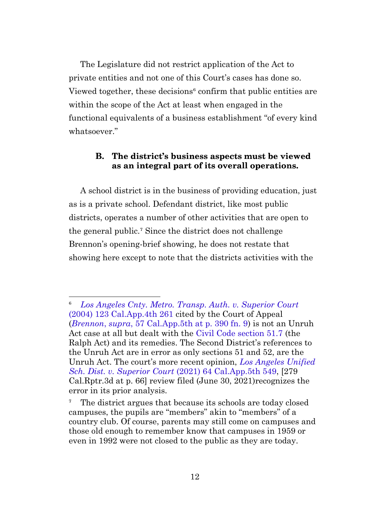The Legislature did not restrict application of the Act to private entities and not one of this Court's cases has done so. Viewed together, these decisions<sup>6</sup> confirm that public entities are within the scope of the Act at least when engaged in the functional equivalents of a business establishment "of every kind whatsoever."

### **B. The district's business aspects must be viewed as an integral part of its overall operations.**

<span id="page-11-0"></span>A school district is in the business of providing education, just as is a private school. Defendant district, like most public districts, operates a number of other activities that are open to the general public.<sup>7</sup> Since the district does not challenge Brennon's opening-brief showing, he does not restate that showing here except to note that the districts activities with the

⁶ *[Los Angeles Cnty. Metro. Transp. Auth. v. Superior Court](https://casetext.com/case/la-cty-met-tran-v-super-ct-la-cty)* [\(2004\) 123 Cal.App.4th 261](https://casetext.com/case/la-cty-met-tran-v-super-ct-la-cty) cited by the Court of Appeal (*Brennon*, *supra*[, 57 Cal.App.5th at p. 390 fn. 9](https://casetext.com/case/brennon-b-v-superior-court#p390)) is not an Unruh Act case at all but dealt with the [Civil Code section 51.7](https://leginfo.legislature.ca.gov/faces/codes_displaySection.xhtml?sectionNum=51.7.&lawCode=CIV) (the Ralph Act) and its remedies. The Second District's references to the Unruh Act are in error as only sections 51 and 52, are the Unruh Act. The court's more recent opinion, *[Los Angeles Unified](https://casetext.com/case/la-unified-sch-dist-v-superior-court) [Sch. Dist. v. Superior Court](https://casetext.com/case/la-unified-sch-dist-v-superior-court)* (2021) 64 Cal.App.5th 549, [279 Cal.Rptr.3d at p. 66] review filed (June 30, 2021)recognizes the error in its prior analysis.

<sup>&</sup>lt;sup>7</sup> The district argues that because its schools are today closed campuses, the pupils are "members" akin to "members" of a country club. Of course, parents may still come on campuses and those old enough to remember know that campuses in 1959 or even in 1992 were not closed to the public as they are today.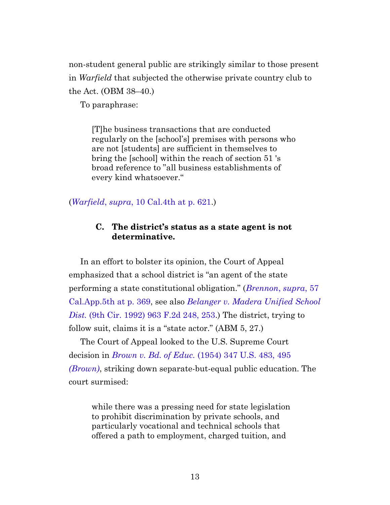non-student general public are strikingly similar to those present in *Warfield* that subjected the otherwise private country club to the Act. (OBM 38–40.)

To paraphrase:

[T]he business transactions that are conducted regularly on the [school's] premises with persons who are not [students] are sufficient in themselves to bring the [school] within the reach of section 51 's broad reference to "all business establishments of every kind whatsoever."

#### <span id="page-12-0"></span>(*Warfield*, *supra*[, 10 Cal.4th at p. 621.](https://casetext.com/case/warfield-v-peninsula-golf-country-club-3#p621))

#### **C. The district's status as a state agent is not determinative.**

In an effort to bolster its opinion, the Court of Appeal emphasized that a school district is "an agent of the state performing a state constitutional obligation." (*[Brennon](https://casetext.com/case/brennon-b-v-superior-court#p369)*, *supra*, 57 [Cal.App.5th at p. 369](https://casetext.com/case/brennon-b-v-superior-court#p369), see also *[Belanger v. Madera Unified School](https://casetext.com/case/belanger-v-madera-unified-school-dist#p253) Dist.* [\(9th Cir. 1992\) 963 F.2d 248, 253](https://casetext.com/case/belanger-v-madera-unified-school-dist#p253).) The district, trying to follow suit, claims it is a "state actor." (ABM 5, 27.)

The Court of Appeal looked to the U.S. Supreme Court decision in *Brown v. Bd. of Educ.* [\(1954\) 347 U.S. 483, 495](https://casetext.com/case/brown-v-board-of-education#p495) *[\(Brown\)](https://casetext.com/case/brown-v-board-of-education#p495)*, striking down separate-but-equal public education. The court surmised:

while there was a pressing need for state legislation to prohibit discrimination by private schools, and particularly vocational and technical schools that offered a path to employment, charged tuition, and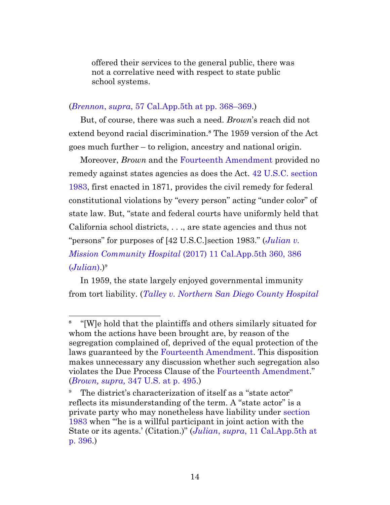offered their services to the general public, there was not a correlative need with respect to state public school systems.

#### (*Brennon*, *supra*[, 57 Cal.App.5th at pp. 368–369](https://casetext.com/case/brennon-b-v-superior-court#p368).)

But, of course, there was such a need. *Brown*'s reach did not extend beyond racial discrimination.<sup>8</sup> The 1959 version of the Act goes much further – to religion, ancestry and national origin.

Moreover, *Brown* and the [Fourteenth Amendment](https://www.law.cornell.edu/constitution/amendmentXIV) provided no remedy against states agencies as does the Act. [42 U.S.C. section](http://uscode.house.gov/view.xhtml?req=granuleid:USC-prelim-title42-section1983&num=0&edition=prelim) [1983,](http://uscode.house.gov/view.xhtml?req=granuleid:USC-prelim-title42-section1983&num=0&edition=prelim) first enacted in 1871, provides the civil remedy for federal constitutional violations by "every person" acting "under color" of state law. But, "state and federal courts have uniformly held that California school districts, . . ., are state agencies and thus not "persons" for purposes of [42 U.S.C.]section 1983." (*[Julian v.](https://casetext.com/case/julian-v-mission-cmty-hosp#p386) Mission Community Hospital* [\(2017\) 11 Cal.App.5th 360, 386](https://casetext.com/case/julian-v-mission-cmty-hosp#p386)  $(Julian).$  $(Julian).$  $(Julian).$ <sup>9</sup>

In 1959, the state largely enjoyed governmental immunity from tort liability. (*[Talley v. Northern San Diego County Hospital](https://casetext.com/case/talley-v-northern-san-diego-hosp-dist#p36)*

⁸ "[W]e hold that the plaintiffs and others similarly situated for whom the actions have been brought are, by reason of the segregation complained of, deprived of the equal protection of the laws guaranteed by the [Fourteenth Amendment.](https://www.law.cornell.edu/constitution/amendmentXIV) This disposition makes unnecessary any discussion whether such segregation also violates the Due Process Clause of the [Fourteenth Amendment.](https://www.law.cornell.edu/constitution/amendmentXIV)" (*Brown, supra,* [347 U.S. at p. 495](https://casetext.com/case/brown-v-board-of-education#p495).)

The district's characterization of itself as a "state actor" reflects its misunderstanding of the term. A "state actor" is a private party who may nonetheless have liability under [section](http://uscode.house.gov/view.xhtml?req=granuleid:USC-prelim-title42-section1983&num=0&edition=prelim) [1983](http://uscode.house.gov/view.xhtml?req=granuleid:USC-prelim-title42-section1983&num=0&edition=prelim) when "'he is a willful participant in joint action with the State or its agents.' (Citation.)" (*Julian*, *supra*[, 11 Cal.App.5th at](https://casetext.com/case/julian-v-mission-cmty-hosp#p396) [p. 396](https://casetext.com/case/julian-v-mission-cmty-hosp#p396).)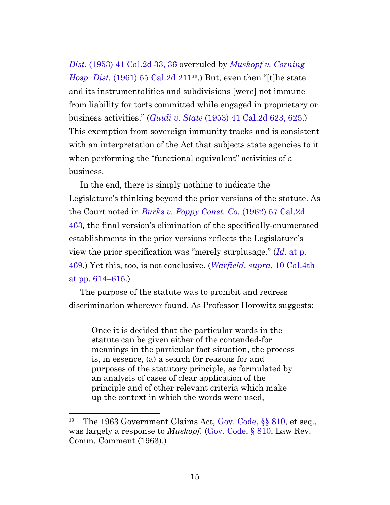*Dist*[. \(1953\) 41 Cal.2d 33, 36](https://casetext.com/case/talley-v-northern-san-diego-hosp-dist#p36) overruled by *[Muskopf v. Corning](https://casetext.com/case/muskopf-v-corning-hospital-dist) Hosp. Dist.* (1961) 55 Cal.2d  $211^{10}$ .) But, even then "[t]he state and its instrumentalities and subdivisions [were] not immune from liability for torts committed while engaged in proprietary or business activities." (*Guidi v. State* [\(1953\) 41 Cal.2d 623, 625](https://casetext.com/case/guidi-v-state-of-california#p625).) This exemption from sovereign immunity tracks and is consistent with an interpretation of the Act that subjects state agencies to it when performing the "functional equivalent" activities of a business.

In the end, there is simply nothing to indicate the Legislature's thinking beyond the prior versions of the statute. As the Court noted in *[Burks v. Poppy Const. Co.](https://casetext.com/case/burks-v-poppy-construction-co)* (1962) 57 Cal.2d [463](https://casetext.com/case/burks-v-poppy-construction-co)*,* the final version's elimination of the specifically-enumerated establishments in the prior versions reflects the Legislature's view the prior specification was "merely surplusage." (*Id.* [at p.](https://casetext.com/case/burks-v-poppy-construction-co#p469) [469.](https://casetext.com/case/burks-v-poppy-construction-co#p469)) Yet this, too, is not conclusive. (*Warfield*, *supra*[, 10 Cal.4th](https://casetext.com/case/warfield-v-peninsula-golf-country-club-3#p614) [at pp. 614–615.](https://casetext.com/case/warfield-v-peninsula-golf-country-club-3#p614))

The purpose of the statute was to prohibit and redress discrimination wherever found. As Professor Horowitz suggests:

Once it is decided that the particular words in the statute can be given either of the contended-for meanings in the particular fact situation, the process is, in essence, (a) a search for reasons for and purposes of the statutory principle, as formulated by an analysis of cases of clear application of the principle and of other relevant criteria which make up the context in which the words were used,

<sup>&</sup>lt;sup>10</sup> The 1963 Government Claims Act, Gov. Code,  $\S$ § 810, et seq., was largely a response to *Muskopf.* ([Gov. Code, §](https://leginfo.legislature.ca.gov/faces/codes_displaySection.xhtml?sectionNum=810.&lawCode=GOV) 810, Law Rev. Comm. Comment (1963).)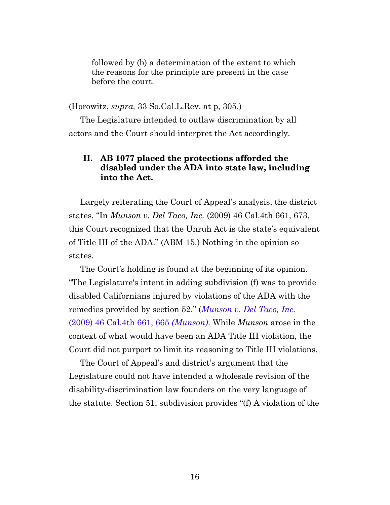followed by (b) a determination of the extent to which the reasons for the principle are present in the case before the court.

(Horowitz, *supra,* 33 So.Cal.L.Rev. at p, 305.)

<span id="page-15-0"></span>The Legislature intended to outlaw discrimination by all actors and the Court should interpret the Act accordingly.

#### **II. AB 1077 placed the protections afforded the disabled under the ADA into state law, including into the Act.**

Largely reiterating the Court of Appeal's analysis, the district states, "In *Munson v. Del Taco, Inc.* (2009) 46 Cal.4th 661, 673, this Court recognized that the Unruh Act is the state's equivalent of Title III of the ADA." (ABM 15.) Nothing in the opinion so states.

The Court's holding is found at the beginning of its opinion. "The Legislature's intent in adding subdivision (f) was to provide disabled Californians injured by violations of the ADA with the remedies provided by section 52." (*[Munson v. Del Taco, Inc.](https://casetext.com/case/munson-v-del-taco#p665)* [\(2009\) 46 Cal.4th 661, 665](https://casetext.com/case/munson-v-del-taco#p665) *(Munson)*. While *Munson* arose in the context of what would have been an ADA Title III violation, the Court did not purport to limit its reasoning to Title III violations.

The Court of Appeal's and district's argument that the Legislature could not have intended a wholesale revision of the disability-discrimination law founders on the very language of the statute. Section 51, subdivision provides "(f) A violation of the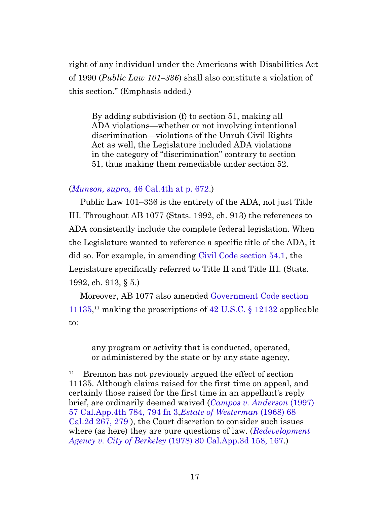right of any individual under the Americans with Disabilities Act of 1990 (*Public Law 101–336*) shall also constitute a violation of this section." (Emphasis added.)

By adding subdivision (f) to section 51, making all ADA violations—whether or not involving intentional discrimination—violations of the Unruh Civil Rights Act as well, the Legislature included ADA violations in the category of "discrimination" contrary to section 51, thus making them remediable under section 52.

#### (*Munson, supra*[, 46 Cal.4th at p. 672](https://casetext.com/case/munson-v-del-taco#p672).)

Public Law 101–336 is the entirety of the ADA, not just Title III. Throughout AB 1077 (Stats. 1992, ch. 913) the references to ADA consistently include the complete federal legislation. When the Legislature wanted to reference a specific title of the ADA, it did so. For example, in amending [Civil Code section 54.1,](https://leginfo.legislature.ca.gov/faces/codes_displaySection.xhtml?sectionNum=54.1.&lawCode=CIV) the Legislature specifically referred to Title II and Title III. (Stats. 1992, ch. 913, § 5.)

<span id="page-16-0"></span>Moreover, AB 1077 also amended [Government Code section](https://leginfo.legislature.ca.gov/faces/codes_displaySection.xhtml?sectionNum=11135.&lawCode=GOV) [11135](https://leginfo.legislature.ca.gov/faces/codes_displaySection.xhtml?sectionNum=11135.&lawCode=GOV),<sup>11</sup> making the proscriptions of 42 U.S.C.  $\S$  12132 applicable to:

any program or activity that is conducted, operated, or administered by the state or by any state agency,

 $11$  Brennon has not previously argued the effect of section 11135. Although claims raised for the first time on appeal, and certainly those raised for the first time in an appellant's reply brief, are ordinarily deemed waived (*[Campos v. Anderson](https://casetext.com/case/campos-v-anderson#p794)* (1997) [57 Cal.App.4th 784, 794 fn 3](https://casetext.com/case/campos-v-anderson#p794),*[Estate of Westerman](https://casetext.com/case/estate-of-westerman#p279)* (1968) 68 [Cal.2d 267, 279](https://casetext.com/case/estate-of-westerman#p279) ), the Court discretion to consider such issues where (as here) they are pure questions of law. (*[Redevelopment](https://casetext.com/case/redevelopment-agency-v-city-of-berkeley#p167) Agency v. City of Berkeley* [\(1978\) 80 Cal.App.3d 158, 167](https://casetext.com/case/redevelopment-agency-v-city-of-berkeley#p167).)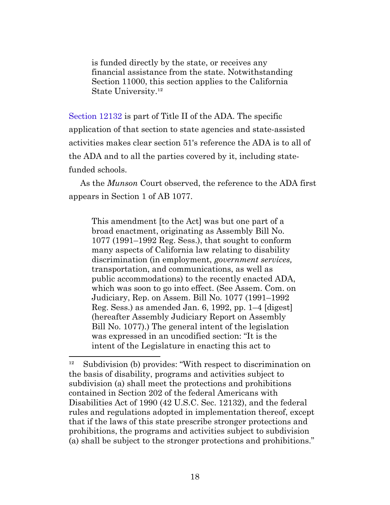is funded directly by the state, or receives any financial assistance from the state. Notwithstanding Section 11000, this section applies to the California State University.<sup>12</sup>

[Section 12132](http://uscode.house.gov/view.xhtml?req=granuleid:USC-prelim-title42-section12132&num=0&edition=prelim) is part of Title II of the ADA. The specific application of that section to state agencies and state-assisted activities makes clear section 51's reference the ADA is to all of the ADA and to all the parties covered by it, including statefunded schools.

As the *Munson* Court observed, the reference to the ADA first appears in Section 1 of AB 1077.

This amendment [to the Act] was but one part of a broad enactment, originating as Assembly Bill No. 1077 (1991–1992 Reg. Sess.), that sought to conform many aspects of California law relating to disability discrimination (in employment, *government services,* transportation, and communications, as well as public accommodations) to the recently enacted ADA, which was soon to go into effect. (See Assem. Com. on Judiciary, Rep. on Assem. Bill No. 1077 (1991–1992 Reg. Sess.) as amended Jan. 6, 1992, pp. 1–4 [digest] (hereafter Assembly Judiciary Report on Assembly Bill No. 1077).) The general intent of the legislation was expressed in an uncodified section: "It is the intent of the Legislature in enacting this act to

Subdivision (b) provides: "With respect to discrimination on the basis of disability, programs and activities subject to subdivision (a) shall meet the protections and prohibitions contained in Section 202 of the federal Americans with Disabilities Act of 1990 (42 U.S.C. Sec. 12132), and the federal rules and regulations adopted in implementation thereof, except that if the laws of this state prescribe stronger protections and prohibitions, the programs and activities subject to subdivision (a) shall be subject to the stronger protections and prohibitions."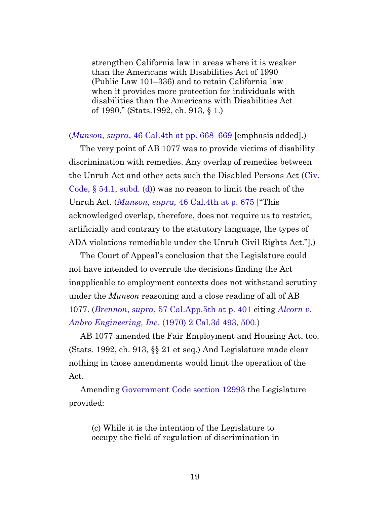strengthen California law in areas where it is weaker than the Americans with Disabilities Act of 1990 (Public Law 101–336) and to retain California law when it provides more protection for individuals with disabilities than the Americans with Disabilities Act of 1990." (Stats.1992, ch. 913, § 1.)

<span id="page-18-0"></span>(*Munson, supra*[, 46 Cal.4th at pp. 668–669](https://casetext.com/case/munson-v-del-taco#p668) [emphasis added].)

The very point of AB 1077 was to provide victims of disability discrimination with remedies. Any overlap of remedies between the Unruh Act and other acts such the Disabled Persons Act ([Civ.](https://leginfo.legislature.ca.gov/faces/codes_displaySection.xhtml?sectionNum=54.1.&lawCode=CIV) Code, § [54.1, subd. \(d\)\)](https://leginfo.legislature.ca.gov/faces/codes_displaySection.xhtml?sectionNum=54.1.&lawCode=CIV) was no reason to limit the reach of the Unruh Act. (*Munson, supra,* [46 Cal.4th at p. 675](https://casetext.com/case/munson-v-del-taco#p675) ["This acknowledged overlap, therefore, does not require us to restrict, artificially and contrary to the statutory language, the types of ADA violations remediable under the Unruh Civil Rights Act."].)

The Court of Appeal's conclusion that the Legislature could not have intended to overrule the decisions finding the Act inapplicable to employment contexts does not withstand scrutiny under the *Munson* reasoning and a close reading of all of AB 1077. (*Brennon*, *supra*[, 57 Cal.App.5th at p. 401](https://casetext.com/case/brennon-b-v-superior-court#p401) citing *[Alcorn v.](https://casetext.com/case/alcorn-v-anbro-engineering-inc#p500) Anbro Engineering, Inc*[. \(1970\) 2 Cal.3d 493, 500](https://casetext.com/case/alcorn-v-anbro-engineering-inc#p500).)

AB 1077 amended the Fair Employment and Housing Act, too. (Stats. 1992, ch. 913, §§ 21 et seq.) And Legislature made clear nothing in those amendments would limit the operation of the Act.

Amending [Government Code section 12993](https://leginfo.legislature.ca.gov/faces/codes_displaySection.xhtml?sectionNum=12993.&lawCode=GOV) the Legislature provided:

(c) While it is the intention of the Legislature to occupy the field of regulation of discrimination in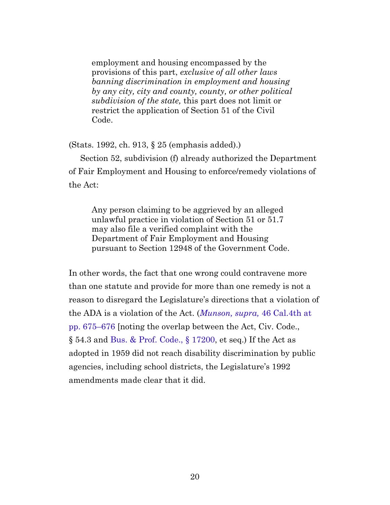employment and housing encompassed by the provisions of this part, *exclusive of all other laws banning discrimination in employment and housing by any city, city and county, county, or other political subdivision of the state,* this part does not limit or restrict the application of Section 51 of the Civil Code.

<span id="page-19-0"></span>(Stats. 1992, ch. 913, § 25 (emphasis added).)

Section 52, subdivision (f) already authorized the Department of Fair Employment and Housing to enforce/remedy violations of the Act:

Any person claiming to be aggrieved by an alleged unlawful practice in violation of Section 51 or 51.7 may also file a verified complaint with the Department of Fair Employment and Housing pursuant to Section 12948 of the Government Code.

In other words, the fact that one wrong could contravene more than one statute and provide for more than one remedy is not a reason to disregard the Legislature's directions that a violation of the ADA is a violation of the Act. (*[Munson, supra,](https://casetext.com/case/munson-v-del-taco#p675)* 46 Cal.4th at [pp. 675–676](https://casetext.com/case/munson-v-del-taco#p675) [noting the overlap between the Act, Civ. Code.,  $\S$  54.3 and Bus. & Prof. Code.,  $\S$  17200, et seq.) If the Act as adopted in 1959 did not reach disability discrimination by public agencies, including school districts, the Legislature's 1992 amendments made clear that it did.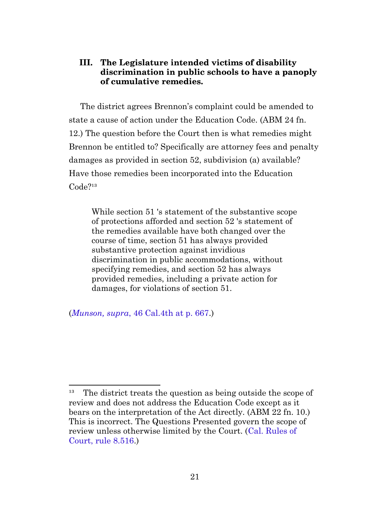### <span id="page-20-0"></span>**III. The Legislature intended victims of disability discrimination in public schools to have a panoply of cumulative remedies.**

The district agrees Brennon's complaint could be amended to state a cause of action under the Education Code. (ABM 24 fn. 12.) The question before the Court then is what remedies might Brennon be entitled to? Specifically are attorney fees and penalty damages as provided in section 52, subdivision (a) available? Have those remedies been incorporated into the Education  $Code<sup>213</sup>$ 

While section 51 's statement of the substantive scope of protections afforded and section 52 's statement of the remedies available have both changed over the course of time, section 51 has always provided substantive protection against invidious discrimination in public accommodations, without specifying remedies, and section 52 has always provided remedies, including a private action for damages, for violations of section 51.

(*Munson, supra*[, 46 Cal.4th at p. 667](https://casetext.com/case/munson-v-del-taco#p667).)

The district treats the question as being outside the scope of review and does not address the Education Code except as it bears on the interpretation of the Act directly. (ABM 22 fn. 10.) This is incorrect. The Questions Presented govern the scope of review unless otherwise limited by the Court. [\(Cal. Rules of](https://www.courts.ca.gov/cms/rules/index.cfm?title=eight&linkid=rule8_516) [Court, rule 8.516](https://www.courts.ca.gov/cms/rules/index.cfm?title=eight&linkid=rule8_516).)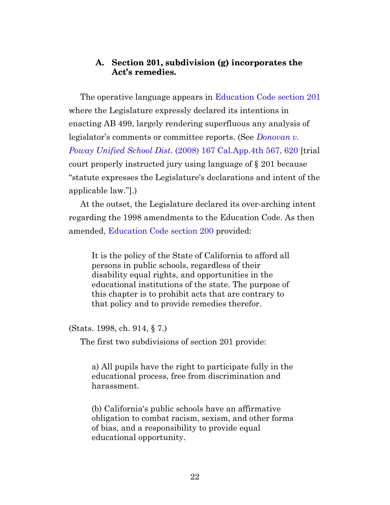#### **A. Section 201, subdivision (g) incorporates the Act's remedies.**

<span id="page-21-0"></span>The operative language appears in [Education Code section 201](https://leginfo.legislature.ca.gov/faces/codes_displaySection.xhtml?sectionNum=201.&lawCode=EDC) where the Legislature expressly declared its intentions in enacting AB 499, largely rendering superfluous any analysis of legislator's comments or committee reports. (See *[Donovan v.](https://casetext.com/case/donovan-v-poway-unified-school-dist#p620) Poway Unified School Dist*[. \(2008\) 167 Cal.App.4th 567, 620](https://casetext.com/case/donovan-v-poway-unified-school-dist#p620) [trial court properly instructed jury using language of § 201 because "statute expresses the Legislature's declarations and intent of the applicable law."].)

At the outset, the Legislature declared its over-arching intent regarding the 1998 amendments to the Education Code. As then amended, [Education Code section 200](https://leginfo.legislature.ca.gov/faces/codes_displaySection.xhtml?sectionNum=200.&lawCode=EDC) provided:

It is the policy of the State of California to afford all persons in public schools, regardless of their disability equal rights, and opportunities in the educational institutions of the state. The purpose of this chapter is to prohibit acts that are contrary to that policy and to provide remedies therefor.

<span id="page-21-1"></span>(Stats. 1998, ch. 914, § 7.)

The first two subdivisions of section 201 provide:

a) All pupils have the right to participate fully in the educational process, free from discrimination and harassment.

(b) California's public schools have an affirmative obligation to combat racism, sexism, and other forms of bias, and a responsibility to provide equal educational opportunity.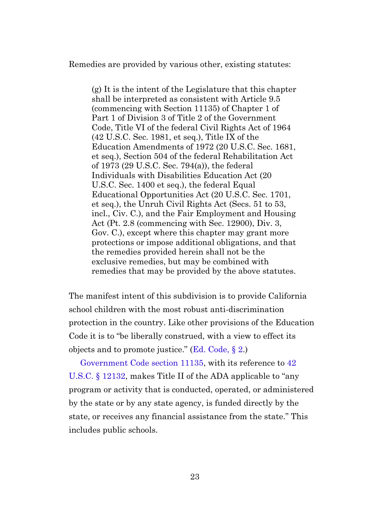Remedies are provided by various other, existing statutes:

(g) It is the intent of the Legislature that this chapter shall be interpreted as consistent with Article 9.5 (commencing with Section 11135) of Chapter 1 of Part 1 of Division 3 of Title 2 of the Government Code, Title VI of the federal Civil Rights Act of 1964 (42 U.S.C. Sec. 1981, et seq.), Title IX of the Education Amendments of 1972 (20 U.S.C. Sec. 1681, et seq.), Section 504 of the federal Rehabilitation Act of 1973 (29 U.S.C. Sec. 794(a)), the federal Individuals with Disabilities Education Act (20 U.S.C. Sec. 1400 et seq.), the federal Equal Educational Opportunities Act (20 U.S.C. Sec. 1701, et seq.), the Unruh Civil Rights Act (Secs. 51 to 53, incl., Civ. C.), and the Fair Employment and Housing Act (Pt. 2.8 (commencing with Sec. 12900), Div. 3, Gov. C.), except where this chapter may grant more protections or impose additional obligations, and that the remedies provided herein shall not be the exclusive remedies, but may be combined with remedies that may be provided by the above statutes.

The manifest intent of this subdivision is to provide California school children with the most robust anti-discrimination protection in the country. Like other provisions of the Education Code it is to "be liberally construed, with a view to effect its objects and to promote justice." ([Ed. Code, §](https://leginfo.legislature.ca.gov/faces/codes_displaySection.xhtml?sectionNum=2.&lawCode=EDC) 2.)

[Government Code section 11135,](https://leginfo.legislature.ca.gov/faces/codes_displaySection.xhtml?sectionNum=11135.&lawCode=GOV) with its reference to [42](http://uscode.house.gov/view.xhtml?req=granuleid:USC-prelim-title42-section12132&num=0&edition=prelim) [U.S.C. §](http://uscode.house.gov/view.xhtml?req=granuleid:USC-prelim-title42-section12132&num=0&edition=prelim) 12132, makes Title II of the ADA applicable to "any program or activity that is conducted, operated, or administered by the state or by any state agency, is funded directly by the state, or receives any financial assistance from the state." This includes public schools.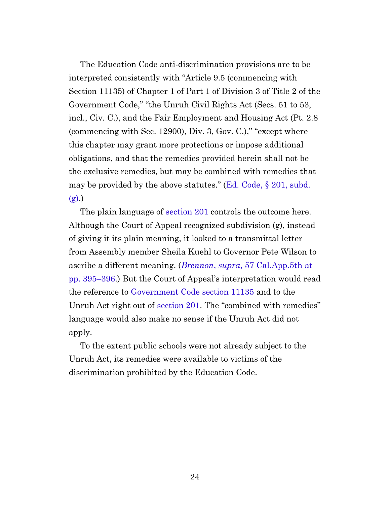The Education Code anti-discrimination provisions are to be interpreted consistently with "Article 9.5 (commencing with Section 11135) of Chapter 1 of Part 1 of Division 3 of Title 2 of the Government Code," "the Unruh Civil Rights Act (Secs. 51 to 53, incl., Civ. C.), and the Fair Employment and Housing Act (Pt. 2.8 (commencing with Sec. 12900), Div. 3, Gov. C.)," "except where this chapter may grant more protections or impose additional obligations, and that the remedies provided herein shall not be the exclusive remedies, but may be combined with remedies that may be provided by the above statutes." ([Ed. Code, §](https://leginfo.legislature.ca.gov/faces/codes_displaySection.xhtml?sectionNum=201.&lawCode=EDC) 201, subd.  $(g).$ 

The plain language of [section 201](https://leginfo.legislature.ca.gov/faces/codes_displaySection.xhtml?sectionNum=201.&lawCode=EDC) controls the outcome here. Although the Court of Appeal recognized subdivision (g), instead of giving it its plain meaning, it looked to a transmittal letter from Assembly member Sheila Kuehl to Governor Pete Wilson to ascribe a different meaning. (*Brennon*, *supra*[, 57 Cal.App.5th at](https://casetext.com/case/brennon-b-v-superior-court#p395) [pp. 395–396.](https://casetext.com/case/brennon-b-v-superior-court#p395)) But the Court of Appeal's interpretation would read the reference to [Government Code section 11135](https://leginfo.legislature.ca.gov/faces/codes_displaySection.xhtml?sectionNum=11135.&lawCode=GOV) and to the Unruh Act right out of [section 201.](https://leginfo.legislature.ca.gov/faces/codes_displaySection.xhtml?sectionNum=201.&lawCode=EDC) The "combined with remedies" language would also make no sense if the Unruh Act did not apply.

To the extent public schools were not already subject to the Unruh Act, its remedies were available to victims of the discrimination prohibited by the Education Code.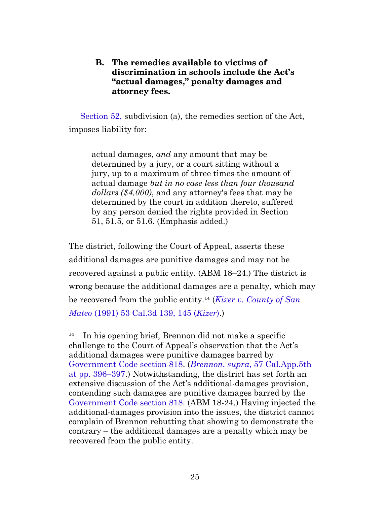### **B. The remedies available to victims of discrimination in schools include the Act's "actual damages," penalty damages and attorney fees.**

<span id="page-24-0"></span>[Section 52,](https://leginfo.legislature.ca.gov/faces/codes_displaySection.xhtml?sectionNum=52.&lawCode=CIV) subdivision (a), the remedies section of the Act, imposes liability for:

actual damages, *and* any amount that may be determined by a jury, or a court sitting without a jury, up to a maximum of three times the amount of actual damage *but in no case less than four thousand dollars (\$4,000)*, and any attorney's fees that may be determined by the court in addition thereto, suffered by any person denied the rights provided in Section 51, 51.5, or 51.6. (Emphasis added.)

The district, following the Court of Appeal, asserts these additional damages are punitive damages and may not be recovered against a public entity. (ABM 18–24.) The district is wrong because the additional damages are a penalty, which may be recovered from the public entity.<sup>14</sup> (*[Kizer v. County of San](https://casetext.com/case/kizer-v-county-of-san-mateo#p145)*) *Mateo* [\(1991\) 53 Cal.3d 139, 145 \(](https://casetext.com/case/kizer-v-county-of-san-mateo#p145)*Kizer*).)

 $^{14}$  In his opening brief, Brennon did not make a specific challenge to the Court of Appeal's observation that the Act's additional damages were punitive damages barred by [Government Code section 818](https://leginfo.legislature.ca.gov/faces/codes_displaySection.xhtml?sectionNum=818.&lawCode=GOV). (*Brennon*, *supra*[, 57 Cal.App.5th](https://casetext.com/case/brennon-b-v-superior-court#p396) [at pp. 396–397.](https://casetext.com/case/brennon-b-v-superior-court#p396)) Notwithstanding, the district has set forth an extensive discussion of the Act's additional-damages provision, contending such damages are punitive damages barred by the [Government Code section 818](https://leginfo.legislature.ca.gov/faces/codes_displaySection.xhtml?sectionNum=818.&lawCode=GOV). (ABM 18-24.) Having injected the additional-damages provision into the issues, the district cannot complain of Brennon rebutting that showing to demonstrate the contrary – the additional damages are a penalty which may be recovered from the public entity.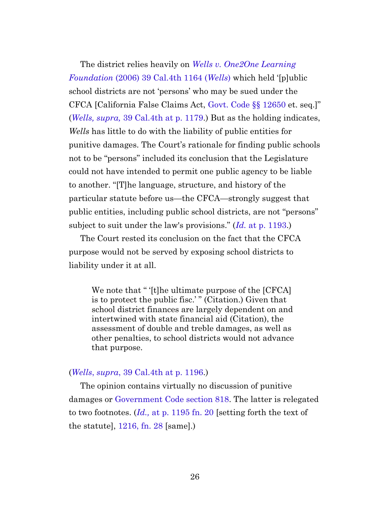The district relies heavily on *[Wells v. One2One Learning](https://casetext.com/case/wells-v-one2one-learning) Foundation* [\(2006\) 39 Cal.4th 1164 \(](https://casetext.com/case/wells-v-one2one-learning)*Wells*) which held '[p]ublic school districts are not 'persons' who may be sued under the CFCA [California False Claims Act, [Govt. Code §§](https://leginfo.legislature.ca.gov/faces/codes_displaySection.xhtml?sectionNum=12650.&lawCode=GOV) 12650 et. seq.]" (*Wells, supra,* [39 Cal.4th at p. 1179](https://casetext.com/case/wells-v-one2one-learning#p1179).) But as the holding indicates, *Wells* has little to do with the liability of public entities for punitive damages. The Court's rationale for finding public schools not to be "persons" included its conclusion that the Legislature could not have intended to permit one public agency to be liable to another. "[T]he language, structure, and history of the particular statute before us—the CFCA—strongly suggest that public entities, including public school districts, are not "persons" subject to suit under the law's provisions." (*Id.* [at p. 1193.](https://casetext.com/case/wells-v-one2one-learning#p1193))

The Court rested its conclusion on the fact that the CFCA purpose would not be served by exposing school districts to liability under it at all.

We note that " '[t]he ultimate purpose of the [CFCA] is to protect the public fisc.' " (Citation.) Given that school district finances are largely dependent on and intertwined with state financial aid (Citation), the assessment of double and treble damages, as well as other penalties, to school districts would not advance that purpose.

#### (*Wells*, *supra*[, 39 Cal.4th at p. 1196](https://casetext.com/case/wells-v-one2one-learning#p1196).)

The opinion contains virtually no discussion of punitive damages or [Government Code section 818.](https://leginfo.legislature.ca.gov/faces/codes_displaySection.xhtml?sectionNum=818.&lawCode=GOV) The latter is relegated to two footnotes. (*Id.,* [at p. 1195 fn. 20](https://casetext.com/case/wells-v-one2one-learning#p1195) [setting forth the text of the statute], [1216, fn. 28](https://casetext.com/case/wells-v-one2one-learning) [same].)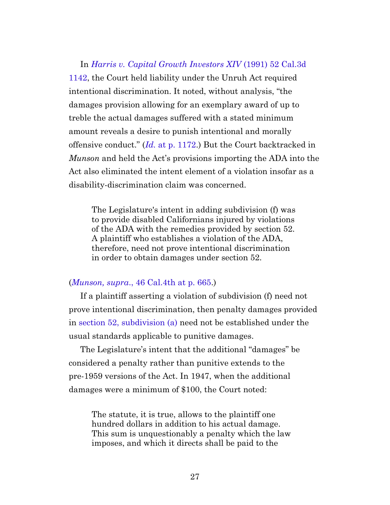In *[Harris v. Capital Growth Investors XIV](https://casetext.com/case/harris-v-capital-growth-investors-xiv)* (1991) 52 Cal.3d [1142,](https://casetext.com/case/harris-v-capital-growth-investors-xiv) the Court held liability under the Unruh Act required intentional discrimination. It noted, without analysis, "the damages provision allowing for an exemplary award of up to treble the actual damages suffered with a stated minimum amount reveals a desire to punish intentional and morally offensive conduct." (*Id.* [at p. 1172.](https://casetext.com/case/harris-v-capital-growth-investors-xiv#p1172)) But the Court backtracked in *Munson* and held the Act's provisions importing the ADA into the Act also eliminated the intent element of a violation insofar as a disability-discrimination claim was concerned.

The Legislature's intent in adding subdivision (f) was to provide disabled Californians injured by violations of the ADA with the remedies provided by section 52. A plaintiff who establishes a violation of the ADA, therefore, need not prove intentional discrimination in order to obtain damages under section 52.

#### (*Munson, supra*[., 46 Cal.4th at p. 665.](https://casetext.com/case/munson-v-del-taco#p665))

If a plaintiff asserting a violation of subdivision (f) need not prove intentional discrimination, then penalty damages provided in [section 52, subdivision \(a\)](https://leginfo.legislature.ca.gov/faces/codes_displaySection.xhtml?sectionNum=52.&lawCode=CIV) need not be established under the usual standards applicable to punitive damages.

The Legislature's intent that the additional "damages" be considered a penalty rather than punitive extends to the pre-1959 versions of the Act. In 1947, when the additional damages were a minimum of \$100, the Court noted:

The statute, it is true, allows to the plaintiff one hundred dollars in addition to his actual damage. This sum is unquestionably a penalty which the law imposes, and which it directs shall be paid to the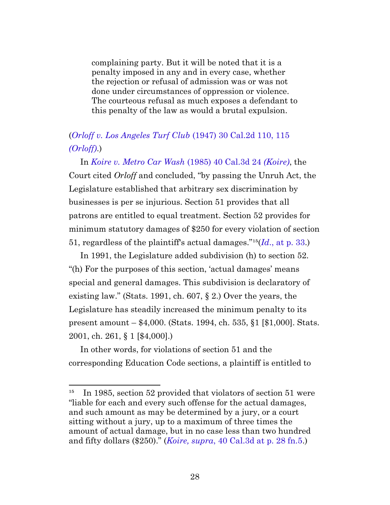complaining party. But it will be noted that it is a penalty imposed in any and in every case, whether the rejection or refusal of admission was or was not done under circumstances of oppression or violence. The courteous refusal as much exposes a defendant to this penalty of the law as would a brutal expulsion.

# (*[Orloff v. Los Angeles Turf Club](https://casetext.com/case/orloff-v-los-angeles-turf-club-2#p115)* (1947) 30 Cal.2d 110, 115 *[\(Orloff\)](https://casetext.com/case/orloff-v-los-angeles-turf-club-2#p115)*.)

In *[Koire v. Metro Car Wash](https://casetext.com/case/koire-v-metro-car-wash)* (1985) 40 Cal.3d 24 *(Koire)*, the Court cited *Orloff* and concluded, "by passing the Unruh Act, the Legislature established that arbitrary sex discrimination by businesses is per se injurious. Section 51 provides that all patrons are entitled to equal treatment. Section 52 provides for minimum statutory damages of \$250 for every violation of section 51, regardless of the plaintiff's actual damages."<sup>15</sup>( $Id$ [., at p. 33.](https://casetext.com/case/koire-v-metro-car-wash#p33))

<span id="page-27-0"></span>In 1991, the Legislature added subdivision (h) to section 52. "(h) For the purposes of this section, 'actual damages' means special and general damages. This subdivision is declaratory of existing law." (Stats. 1991, ch. 607, § 2.) Over the years, the Legislature has steadily increased the minimum penalty to its present amount – \$4,000. (Stats. 1994, ch. 535, §1 [\$1,000]. Stats. 2001, ch. 261, § 1 [\$4,000].)

<span id="page-27-1"></span>In other words, for violations of section 51 and the corresponding Education Code sections, a plaintiff is entitled to

In 1985, section 52 provided that violators of section 51 were "liable for each and every such offense for the actual damages, and such amount as may be determined by a jury, or a court sitting without a jury, up to a maximum of three times the amount of actual damage, but in no case less than two hundred and fifty dollars (\$250)." (*Koire, supra*[, 40 Cal.3d at p. 28 fn.5.](https://casetext.com/case/koire-v-metro-car-wash#p28))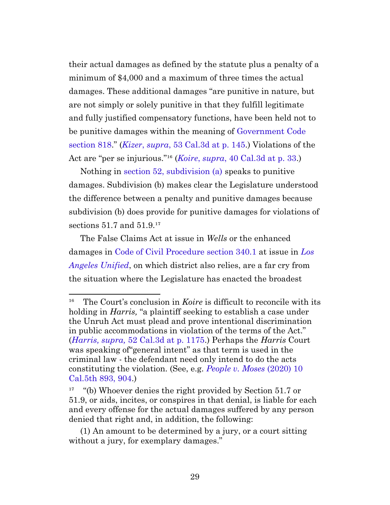their actual damages as defined by the statute plus a penalty of a minimum of \$4,000 and a maximum of three times the actual damages. These additional damages "are punitive in nature, but are not simply or solely punitive in that they fulfill legitimate and fully justified compensatory functions, have been held not to be punitive damages within the meaning of [Government Code](https://leginfo.legislature.ca.gov/faces/codes_displaySection.xhtml?sectionNum=818.&lawCode=GOV) [section 818](https://leginfo.legislature.ca.gov/faces/codes_displaySection.xhtml?sectionNum=818.&lawCode=GOV)." (*Kizer*, *supra*[, 53 Cal.3d at p. 145](https://casetext.com/case/kizer-v-county-of-san-mateo#p145).) Violations of the Act are "per se injurious."<sup>16</sup> (*Koire*, *supra*[, 40 Cal.3d at p. 33](https://casetext.com/case/koire-v-metro-car-wash#p33).)

Nothing in [section 52, subdivision \(a\)](https://leginfo.legislature.ca.gov/faces/codes_displaySection.xhtml?sectionNum=52.&lawCode=CIV) speaks to punitive damages. Subdivision (b) makes clear the Legislature understood the difference between a penalty and punitive damages because subdivision (b) does provide for punitive damages for violations of sections  $51.7$  and  $51.9<sup>17</sup>$ 

The False Claims Act at issue in *Wells* or the enhanced damages in [Code of Civil Procedure section 340.1](https://leginfo.legislature.ca.gov/faces/codes_displaySection.xhtml?sectionNum=340.1.&lawCode=CCP) at issue in *[Los](https://casetext.com/case/la-unified-sch-dist-v-superior-court) [Angeles Unified](https://casetext.com/case/la-unified-sch-dist-v-superior-court)*, on which district also relies, are a far cry from the situation where the Legislature has enacted the broadest

<sup>&</sup>lt;sup>16</sup> The Court's conclusion in *Koire* is difficult to reconcile with its holding in *Harris,* "a plaintiff seeking to establish a case under the Unruh Act must plead and prove intentional discrimination in public accommodations in violation of the terms of the Act." (*Harris, supra,* [52 Cal.3d at p. 1175](https://casetext.com/case/harris-v-capital-growth-investors-xiv#p1175).) Perhaps the *Harris* Court was speaking of"general intent" as that term is used in the criminal law - the defendant need only intend to do the acts constituting the violation. (See, e.g. *[People v. Moses](https://casetext.com/case/people-v-moses-139#p904)* (2020) 10 [Cal.5th 893, 904.](https://casetext.com/case/people-v-moses-139#p904))

¹⁷ "(b) Whoever denies the right provided by Section 51.7 or 51.9, or aids, incites, or conspires in that denial, is liable for each and every offense for the actual damages suffered by any person denied that right and, in addition, the following:

<sup>(1)</sup> An amount to be determined by a jury, or a court sitting without a jury, for exemplary damages."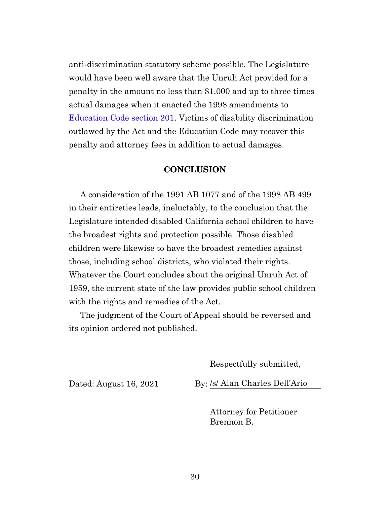anti-discrimination statutory scheme possible. The Legislature would have been well aware that the Unruh Act provided for a penalty in the amount no less than \$1,000 and up to three times actual damages when it enacted the 1998 amendments to [Education Code section 201.](https://leginfo.legislature.ca.gov/faces/codes_displaySection.xhtml?sectionNum=201.&lawCode=EDC) Victims of disability discrimination outlawed by the Act and the Education Code may recover this penalty and attorney fees in addition to actual damages.

#### **CONCLUSION**

<span id="page-29-0"></span>A consideration of the 1991 AB 1077 and of the 1998 AB 499 in their entireties leads, ineluctably, to the conclusion that the Legislature intended disabled California school children to have the broadest rights and protection possible. Those disabled children were likewise to have the broadest remedies against those, including school districts, who violated their rights. Whatever the Court concludes about the original Unruh Act of 1959, the current state of the law provides public school children with the rights and remedies of the Act.

The judgment of the Court of Appeal should be reversed and its opinion ordered not published.

Respectfully submitted,

Dated: August 16, 2021 By: /s/ Alan Charles Dell'Ario

Attorney for Petitioner Brennon B.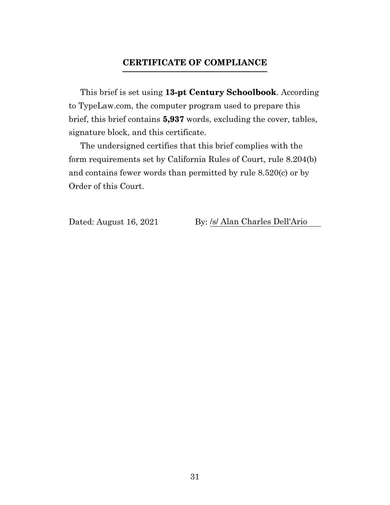### **CERTIFICATE OF COMPLIANCE**

<span id="page-30-0"></span>This brief is set using **13-pt Century Schoolbook**. According to TypeLaw.com, the computer program used to prepare this brief, this brief contains **5,937** words, excluding the cover, tables, signature block, and this certificate.

The undersigned certifies that this brief complies with the form requirements set by California Rules of Court, rule 8.204(b) and contains fewer words than permitted by rule 8.520(c) or by Order of this Court.

Dated: August 16, 2021 By: /s/ Alan Charles Dell'Ario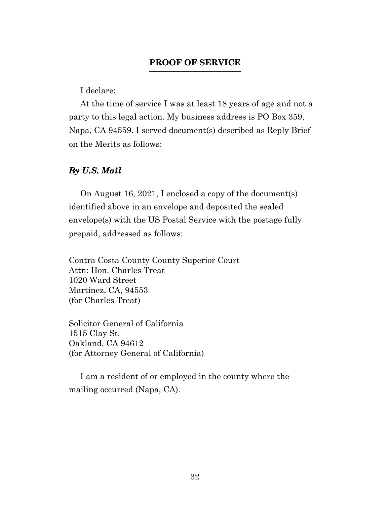### **PROOF OF SERVICE**

I declare:

<span id="page-31-0"></span>At the time of service I was at least 18 years of age and not a party to this legal action. My business address is PO Box 359, Napa, CA 94559. I served document(s) described as Reply Brief on the Merits as follows:

#### *By U.S. Mail*

On August 16, 2021, I enclosed a copy of the document(s) identified above in an envelope and deposited the sealed envelope(s) with the US Postal Service with the postage fully prepaid, addressed as follows:

Contra Costa County County Superior Court Attn: Hon. Charles Treat 1020 Ward Street Martinez, CA, 94553 (for Charles Treat)

Solicitor General of California 1515 Clay St. Oakland, CA 94612 (for Attorney General of California)

I am a resident of or employed in the county where the mailing occurred (Napa, CA).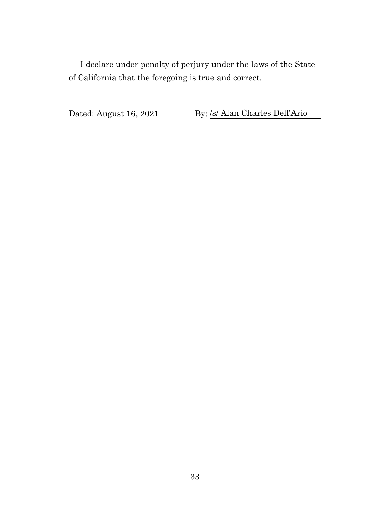I declare under penalty of perjury under the laws of the State of California that the foregoing is true and correct.

Dated: August 16, 2021 By: <u>/s/ Alan Charles Dell'Ario</u>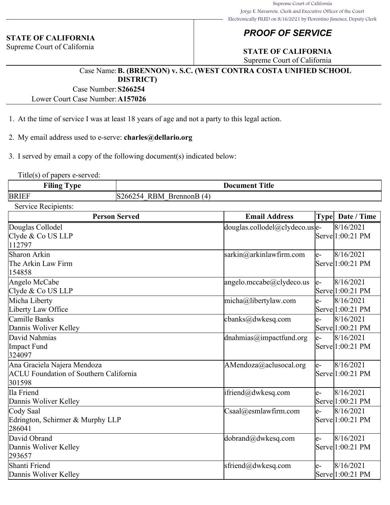#### **STATE OF CALIFORNIA**

Supreme Court of California

# *PROOF OF SERVICE*

# **STATE OF CALIFORNIA**

Supreme Court of California

#### Case Name:**B. (BRENNON) v. S.C. (WEST CONTRA COSTA UNIFIED SCHOOL DISTRICT)**

Case Number:**S266254**

Lower Court Case Number:**A157026**

- 1. At the time of service I was at least 18 years of age and not a party to this legal action.
- 2. My email address used to e-serve: **charles@dellario.org**

3. I served by email a copy of the following document(s) indicated below:

Title(s) of papers e-served:

| .<br>-<br>r'iling<br><b>Vne</b> | <b>Title</b><br>Document<br>__                                 |
|---------------------------------|----------------------------------------------------------------|
| <b>BRIEF</b>                    | 'RM<br>$\overline{4}$<br>BrennonE<br>200.<br>$\mathbf{u}$<br>ĸ |

Service Recipients:

| <b>Person Served</b>                                                                   | <b>Email Address</b>                                    |       | Type   Date / Time            |
|----------------------------------------------------------------------------------------|---------------------------------------------------------|-------|-------------------------------|
| Douglas Collodel<br>Clyde & Co US LLP<br>112797                                        | $\frac{1}{2}$ douglas.collodel@clydeco.us $\frac{1}{2}$ |       | 8/16/2021<br>Serve 1:00:21 PM |
| Sharon Arkin<br>The Arkin Law Firm<br>154858                                           | sarkin@arkinlawfirm.com                                 | le-   | 8/16/2021<br>Servel1:00:21 PM |
| Angelo McCabe<br>Clyde & Co US LLP                                                     | angelo.mccabe@clydeco.us                                | $ e-$ | 8/16/2021<br>Serve 1:00:21 PM |
| Micha Liberty<br>Liberty Law Office                                                    | micha@libertylaw.com                                    | le-   | 8/16/2021<br>Serve 1:00:21 PM |
| Camille Banks<br>Dannis Woliver Kelley                                                 | cbanks@dwkesq.com                                       | le-   | 8/16/2021<br>Serve 1:00:21 PM |
| David Nahmias<br>Impact Fund<br>324097                                                 | dnahmias@impactfund.org                                 | le-   | 8/16/2021<br>Serve 1:00:21 PM |
| Ana Graciela Najera Mendoza<br><b>ACLU</b> Foundation of Southern California<br>301598 | AMendoza@aclusocal.org                                  | le-   | 8/16/2021<br>Serve 1:00:21 PM |
| Ila Friend<br>Dannis Woliver Kelley                                                    | $\text{ifriend@dwkesq.com}$                             | le-   | 8/16/2021<br>Serve 1:00:21 PM |
| Cody Saal<br>Edrington, Schirmer & Murphy LLP<br>286041                                | $\text{Csaal}(a)$ esmlawfirm.com                        | e-    | 8/16/2021<br>Serve 1:00:21 PM |
| David Obrand<br>Dannis Woliver Kelley<br>293657                                        | dobrand@dwkesq.com                                      | le-   | 8/16/2021<br>Serve 1:00:21 PM |
| Shanti Friend<br>Dannis Woliver Kelley                                                 | sfriend@dwkesq.com                                      | e-    | 8/16/2021<br>Serve 1:00:21 PM |